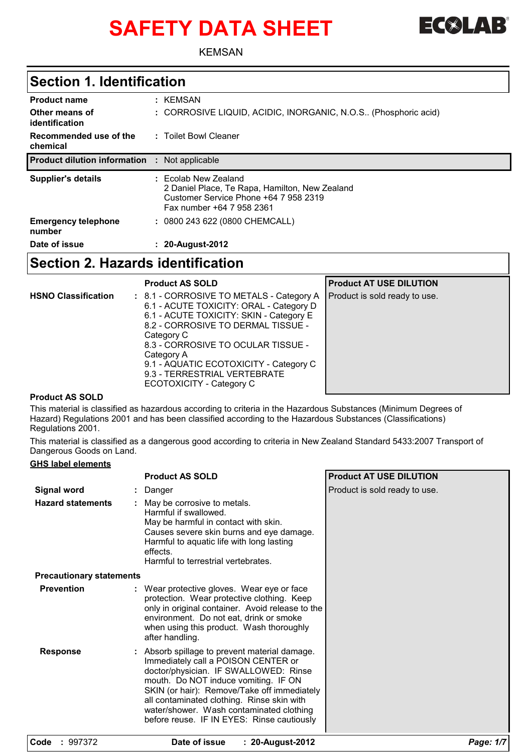# SAFETY DATA SHEET FC**OLAB**



KEMSAN

### **Section 1. Identification**

| Date of issue                        | : 20-August-2012                                                                                                                             |
|--------------------------------------|----------------------------------------------------------------------------------------------------------------------------------------------|
| <b>Emergency telephone</b><br>number | : 0800 243 622 (0800 CHEMCALL)                                                                                                               |
| <b>Supplier's details</b>            | : Ecolab New Zealand<br>2 Daniel Place, Te Rapa, Hamilton, New Zealand<br>Customer Service Phone +64 7 958 2319<br>Fax number +64 7 958 2361 |
| <b>Product dilution information</b>  | : Not applicable                                                                                                                             |
| Recommended use of the<br>chemical   | : Toilet Bowl Cleaner                                                                                                                        |
| Other means of<br>identification     | : CORROSIVE LIQUID, ACIDIC, INORGANIC, N.O.S (Phosphoric acid)                                                                               |
| <b>Product name</b>                  | : KEMSAN                                                                                                                                     |

### **Section 2. Hazards identification**

|                            | <b>Product AS SOLD</b>                                                                                                                                                                                                                                                                                                                       | <b>Product AT USE DILUTION</b> |
|----------------------------|----------------------------------------------------------------------------------------------------------------------------------------------------------------------------------------------------------------------------------------------------------------------------------------------------------------------------------------------|--------------------------------|
| <b>HSNO Classification</b> | : 8.1 - CORROSIVE TO METALS - Category A<br>6.1 - ACUTE TOXICITY: ORAL - Category D<br>6.1 - ACUTE TOXICITY: SKIN - Category E<br>8.2 - CORROSIVE TO DERMAL TISSUE -<br>Category C<br>8.3 - CORROSIVE TO OCULAR TISSUE -<br>Category A<br>9.1 - AQUATIC ECOTOXICITY - Category C<br>9.3 - TERRESTRIAL VERTEBRATE<br>ECOTOXICITY - Category C | Product is sold ready to use.  |
| <u>.</u>                   |                                                                                                                                                                                                                                                                                                                                              |                                |

#### **Product AS SOLD**

This material is classified as hazardous according to criteria in the Hazardous Substances (Minimum Degrees of Hazard) Regulations 2001 and has been classified according to the Hazardous Substances (Classifications) Regulations 2001.

This material is classified as a dangerous good according to criteria in New Zealand Standard 5433:2007 Transport of Dangerous Goods on Land.

#### **GHS label elements**

|                                 | <b>Product AS SOLD</b>                                                                                                                                                                                                                                                                                                                                     | <b>Product AT USE DILUTION</b> |
|---------------------------------|------------------------------------------------------------------------------------------------------------------------------------------------------------------------------------------------------------------------------------------------------------------------------------------------------------------------------------------------------------|--------------------------------|
| <b>Signal word</b>              | Danger                                                                                                                                                                                                                                                                                                                                                     | Product is sold ready to use.  |
| <b>Hazard statements</b>        | May be corrosive to metals.<br>Harmful if swallowed.<br>May be harmful in contact with skin.<br>Causes severe skin burns and eye damage.<br>Harmful to aquatic life with long lasting<br>effects.<br>Harmful to terrestrial vertebrates.                                                                                                                   |                                |
| <b>Precautionary statements</b> |                                                                                                                                                                                                                                                                                                                                                            |                                |
| <b>Prevention</b>               | : Wear protective gloves. Wear eye or face<br>protection. Wear protective clothing. Keep<br>only in original container. Avoid release to the<br>environment. Do not eat, drink or smoke<br>when using this product. Wash thoroughly<br>after handling.                                                                                                     |                                |
| <b>Response</b>                 | Absorb spillage to prevent material damage.<br>Immediately call a POISON CENTER or<br>doctor/physician. IF SWALLOWED: Rinse<br>mouth. Do NOT induce vomiting. IF ON<br>SKIN (or hair): Remove/Take off immediately<br>all contaminated clothing. Rinse skin with<br>water/shower. Wash contaminated clothing<br>before reuse. IF IN EYES: Rinse cautiously |                                |
| Code : 997372                   | Date of issue<br>: 20-August-2012                                                                                                                                                                                                                                                                                                                          | Page: 1/7                      |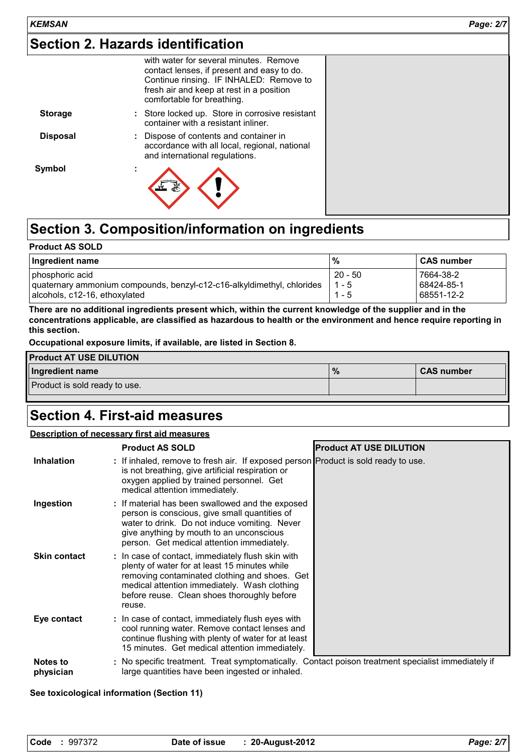### **Section 2. Hazards identification**

|                 | with water for several minutes. Remove<br>contact lenses, if present and easy to do.<br>Continue rinsing. IF INHALED: Remove to<br>fresh air and keep at rest in a position<br>comfortable for breathing. |
|-----------------|-----------------------------------------------------------------------------------------------------------------------------------------------------------------------------------------------------------|
| <b>Storage</b>  | : Store locked up. Store in corrosive resistant<br>container with a resistant inliner.                                                                                                                    |
| <b>Disposal</b> | : Dispose of contents and container in<br>accordance with all local, regional, national<br>and international regulations.                                                                                 |
| Symbol          | $\blacksquare$                                                                                                                                                                                            |

# **Section 3. Composition/information on ingredients**

| <b>Product AS SOLD</b>                                                                                                     |                                 |                                       |  |
|----------------------------------------------------------------------------------------------------------------------------|---------------------------------|---------------------------------------|--|
| Ingredient name                                                                                                            | %                               | <b>CAS number</b>                     |  |
| phosphoric acid<br>quaternary ammonium compounds, benzyl-c12-c16-alkyldimethyl, chlorides<br>alcohols, c12-16, ethoxylated | $20 - 50$<br>$1 - 5$<br>$1 - 5$ | 7664-38-2<br>68424-85-1<br>68551-12-2 |  |

**There are no additional ingredients present which, within the current knowledge of the supplier and in the concentrations applicable, are classified as hazardous to health or the environment and hence require reporting in this section.**

**Occupational exposure limits, if available, are listed in Section 8.**

| <b>Product AT USE DILUTION</b> |               |                   |
|--------------------------------|---------------|-------------------|
| Ingredient name                | $\frac{9}{6}$ | <b>CAS number</b> |
| Product is sold ready to use.  |               |                   |
|                                |               |                   |

### **Section 4. First-aid measures**

#### **Description of necessary first aid measures**

|                     | <b>Product AS SOLD</b>                                                                                                                                                                                                                                       | <b>Product AT USE DILUTION</b> |
|---------------------|--------------------------------------------------------------------------------------------------------------------------------------------------------------------------------------------------------------------------------------------------------------|--------------------------------|
| <b>Inhalation</b>   | : If inhaled, remove to fresh air. If exposed person Product is sold ready to use.<br>is not breathing, give artificial respiration or<br>oxygen applied by trained personnel. Get<br>medical attention immediately.                                         |                                |
| Ingestion           | : If material has been swallowed and the exposed<br>person is conscious, give small quantities of<br>water to drink. Do not induce vomiting. Never<br>give anything by mouth to an unconscious<br>person. Get medical attention immediately.                 |                                |
| <b>Skin contact</b> | : In case of contact, immediately flush skin with<br>plenty of water for at least 15 minutes while<br>removing contaminated clothing and shoes. Get<br>medical attention immediately. Wash clothing<br>before reuse. Clean shoes thoroughly before<br>reuse. |                                |
| Eye contact         | : In case of contact, immediately flush eyes with<br>cool running water. Remove contact lenses and<br>continue flushing with plenty of water for at least<br>15 minutes. Get medical attention immediately.                                                  |                                |
| <b>Notes to</b>     | : No specific treatment. Treat symptomatically. Contact poison treatment specialist immediately if                                                                                                                                                           |                                |

**physician** large quantities have been ingested or inhaled.

#### **See toxicological information (Section 11)**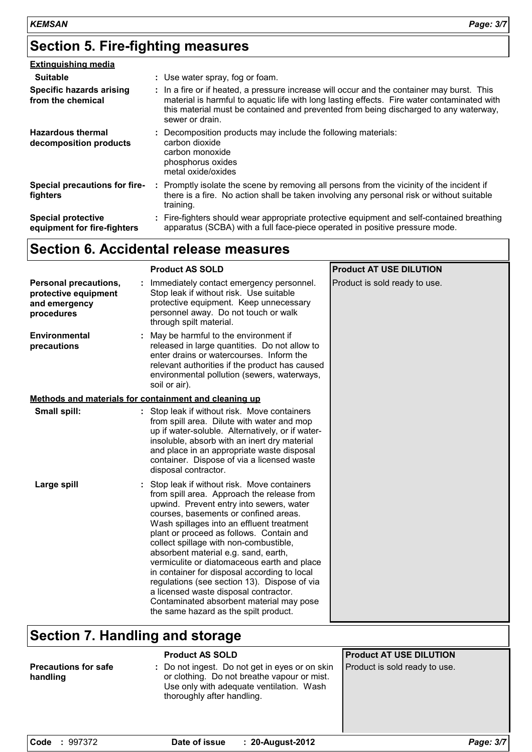# **Section 5. Fire-fighting measures**

| <b>Extinguishing media</b>                               |                                                                                                                                                                                                                                                                                                      |
|----------------------------------------------------------|------------------------------------------------------------------------------------------------------------------------------------------------------------------------------------------------------------------------------------------------------------------------------------------------------|
| <b>Suitable</b>                                          | : Use water spray, fog or foam.                                                                                                                                                                                                                                                                      |
| Specific hazards arising<br>from the chemical            | : In a fire or if heated, a pressure increase will occur and the container may burst. This<br>material is harmful to aquatic life with long lasting effects. Fire water contaminated with<br>this material must be contained and prevented from being discharged to any waterway,<br>sewer or drain. |
| <b>Hazardous thermal</b><br>decomposition products       | : Decomposition products may include the following materials:<br>carbon dioxide<br>carbon monoxide<br>phosphorus oxides<br>metal oxide/oxides                                                                                                                                                        |
| Special precautions for fire-<br>fighters                | : Promptly isolate the scene by removing all persons from the vicinity of the incident if<br>there is a fire. No action shall be taken involving any personal risk or without suitable<br>training.                                                                                                  |
| <b>Special protective</b><br>equipment for fire-fighters | : Fire-fighters should wear appropriate protective equipment and self-contained breathing<br>apparatus (SCBA) with a full face-piece operated in positive pressure mode.                                                                                                                             |

# **Section 6. Accidental release measures**

|                                                                              | <b>Product AS SOLD</b>                                                                                                                                                                                                                                                                                                                                                                                                                                                                                                                                                                                                                | <b>Product AT USE DILUTION</b> |
|------------------------------------------------------------------------------|---------------------------------------------------------------------------------------------------------------------------------------------------------------------------------------------------------------------------------------------------------------------------------------------------------------------------------------------------------------------------------------------------------------------------------------------------------------------------------------------------------------------------------------------------------------------------------------------------------------------------------------|--------------------------------|
| Personal precautions,<br>protective equipment<br>and emergency<br>procedures | Immediately contact emergency personnel.<br>Stop leak if without risk. Use suitable<br>protective equipment. Keep unnecessary<br>personnel away. Do not touch or walk<br>through spilt material.                                                                                                                                                                                                                                                                                                                                                                                                                                      | Product is sold ready to use.  |
| Environmental<br>precautions                                                 | : May be harmful to the environment if<br>released in large quantities. Do not allow to<br>enter drains or watercourses. Inform the<br>relevant authorities if the product has caused<br>environmental pollution (sewers, waterways,<br>soil or air).                                                                                                                                                                                                                                                                                                                                                                                 |                                |
|                                                                              | Methods and materials for containment and cleaning up                                                                                                                                                                                                                                                                                                                                                                                                                                                                                                                                                                                 |                                |
| Small spill:                                                                 | : Stop leak if without risk. Move containers<br>from spill area. Dilute with water and mop<br>up if water-soluble. Alternatively, or if water-<br>insoluble, absorb with an inert dry material<br>and place in an appropriate waste disposal<br>container. Dispose of via a licensed waste<br>disposal contractor.                                                                                                                                                                                                                                                                                                                    |                                |
| Large spill                                                                  | Stop leak if without risk. Move containers<br>from spill area. Approach the release from<br>upwind. Prevent entry into sewers, water<br>courses, basements or confined areas.<br>Wash spillages into an effluent treatment<br>plant or proceed as follows. Contain and<br>collect spillage with non-combustible,<br>absorbent material e.g. sand, earth,<br>vermiculite or diatomaceous earth and place<br>in container for disposal according to local<br>regulations (see section 13). Dispose of via<br>a licensed waste disposal contractor.<br>Contaminated absorbent material may pose<br>the same hazard as the spilt product. |                                |

# **Section 7. Handling and storage**

|                                         | <b>Product AS SOLD</b>                                                                                                                                                  | <b>Product AT USE DILUTION</b> |
|-----------------------------------------|-------------------------------------------------------------------------------------------------------------------------------------------------------------------------|--------------------------------|
| <b>Precautions for safe</b><br>handling | : Do not ingest. Do not get in eyes or on skin<br>or clothing. Do not breathe vapour or mist.<br>Use only with adequate ventilation. Wash<br>thoroughly after handling. | Product is sold ready to use.  |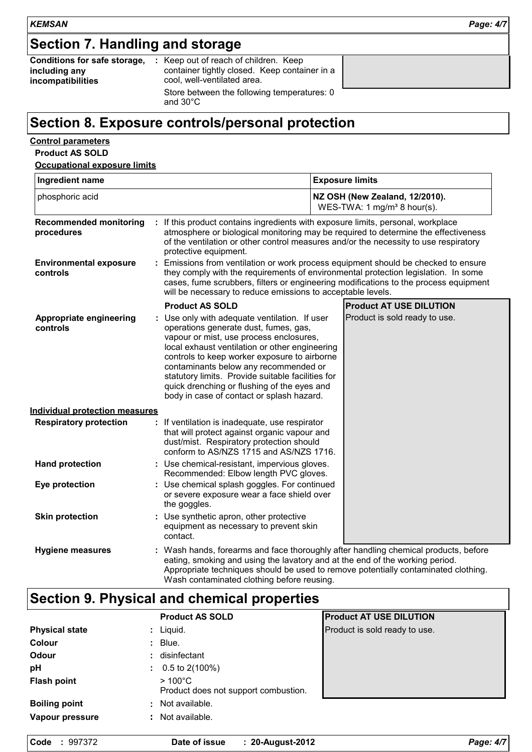# **Section 7. Handling and storage**

| Conditions for safe storage. |  |
|------------------------------|--|
| including any                |  |
| incompatibilities            |  |

**:** Keep out of reach of children. Keep container tightly closed. Keep container in a cool, well-ventilated area. Store between the following temperatures: 0

#### and 30°C

### **Section 8. Exposure controls/personal protection**

#### **Control parameters Product AS SOLD**

| Ingredient name                             |                                                                                                                                                                                                                                                                                                                                                                                                                               | <b>Exposure limits</b>                                                                                                                                                                                                                                                                                  |  |
|---------------------------------------------|-------------------------------------------------------------------------------------------------------------------------------------------------------------------------------------------------------------------------------------------------------------------------------------------------------------------------------------------------------------------------------------------------------------------------------|---------------------------------------------------------------------------------------------------------------------------------------------------------------------------------------------------------------------------------------------------------------------------------------------------------|--|
| phosphoric acid                             |                                                                                                                                                                                                                                                                                                                                                                                                                               | NZ OSH (New Zealand, 12/2010).<br>WES-TWA: 1 mg/m <sup>3</sup> 8 hour(s).                                                                                                                                                                                                                               |  |
| <b>Recommended monitoring</b><br>procedures | protective equipment.                                                                                                                                                                                                                                                                                                                                                                                                         | : If this product contains ingredients with exposure limits, personal, workplace<br>atmosphere or biological monitoring may be required to determine the effectiveness<br>of the ventilation or other control measures and/or the necessity to use respiratory                                          |  |
| <b>Environmental exposure</b><br>controls   | will be necessary to reduce emissions to acceptable levels.                                                                                                                                                                                                                                                                                                                                                                   | : Emissions from ventilation or work process equipment should be checked to ensure<br>they comply with the requirements of environmental protection legislation. In some<br>cases, fume scrubbers, filters or engineering modifications to the process equipment                                        |  |
|                                             | <b>Product AS SOLD</b>                                                                                                                                                                                                                                                                                                                                                                                                        | <b>Product AT USE DILUTION</b>                                                                                                                                                                                                                                                                          |  |
| Appropriate engineering<br>controls         | : Use only with adequate ventilation. If user<br>operations generate dust, fumes, gas,<br>vapour or mist, use process enclosures,<br>local exhaust ventilation or other engineering<br>controls to keep worker exposure to airborne<br>contaminants below any recommended or<br>statutory limits. Provide suitable facilities for<br>quick drenching or flushing of the eyes and<br>body in case of contact or splash hazard. | Product is sold ready to use.                                                                                                                                                                                                                                                                           |  |
| <b>Individual protection measures</b>       |                                                                                                                                                                                                                                                                                                                                                                                                                               |                                                                                                                                                                                                                                                                                                         |  |
| <b>Respiratory protection</b>               | : If ventilation is inadequate, use respirator<br>that will protect against organic vapour and<br>dust/mist. Respiratory protection should<br>conform to AS/NZS 1715 and AS/NZS 1716.                                                                                                                                                                                                                                         |                                                                                                                                                                                                                                                                                                         |  |
| <b>Hand protection</b>                      | : Use chemical-resistant, impervious gloves.<br>Recommended: Elbow length PVC gloves.                                                                                                                                                                                                                                                                                                                                         |                                                                                                                                                                                                                                                                                                         |  |
| Eye protection                              | : Use chemical splash goggles. For continued<br>or severe exposure wear a face shield over<br>the goggles.                                                                                                                                                                                                                                                                                                                    |                                                                                                                                                                                                                                                                                                         |  |
| <b>Skin protection</b>                      | : Use synthetic apron, other protective<br>equipment as necessary to prevent skin<br>contact.                                                                                                                                                                                                                                                                                                                                 |                                                                                                                                                                                                                                                                                                         |  |
| <b>Hygiene measures</b>                     |                                                                                                                                                                                                                                                                                                                                                                                                                               | : Wash hands, forearms and face thoroughly after handling chemical products, before<br>eating, smoking and using the lavatory and at the end of the working period.<br>Appropriate techniques should be used to remove potentially contaminated clothing.<br>Wash contaminated clothing before reusing. |  |

# **Section 9. Physical and chemical properties**

|                            | <b>Product AS SOLD</b>                                   | <b>Product AT USE DILUTION</b> |
|----------------------------|----------------------------------------------------------|--------------------------------|
| <b>Physical state</b>      | Liquid.                                                  | Product is sold ready to use.  |
| <b>Colour</b><br>÷         | Blue.                                                    |                                |
| Odour                      | disinfectant                                             |                                |
| pH                         | $0.5$ to 2(100%)<br>÷.                                   |                                |
| <b>Flash point</b>         | $>100^{\circ}$ C<br>Product does not support combustion. |                                |
| <b>Boiling point</b><br>÷. | Not available.                                           |                                |
| Vapour pressure            | Not available.                                           |                                |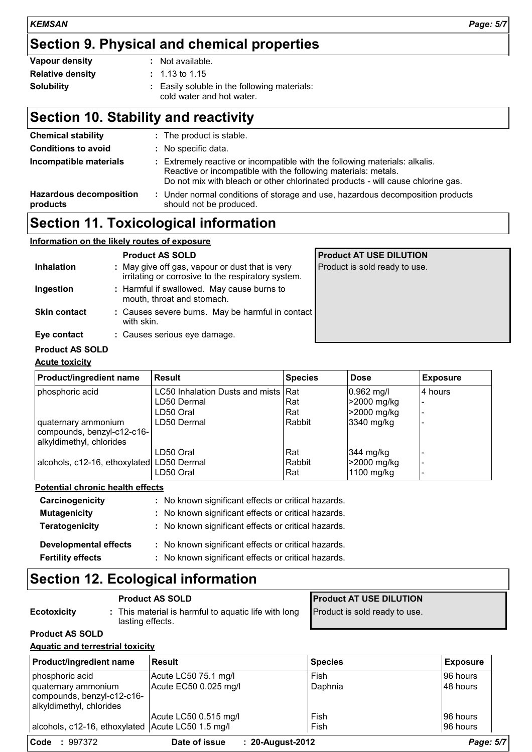### **Section 9. Physical and chemical properties**

| Vapour density          | : Not available.                                                          |
|-------------------------|---------------------------------------------------------------------------|
| <b>Relative density</b> | $\pm$ 1.13 to 1.15                                                        |
| <b>Solubility</b>       | : Easily soluble in the following materials:<br>cold water and hot water. |

# **Section 10. Stability and reactivity**

| <b>Chemical stability</b><br><b>Conditions to avoid</b> | : The product is stable.<br>: No specific data.                                                                                                                                                                                  |
|---------------------------------------------------------|----------------------------------------------------------------------------------------------------------------------------------------------------------------------------------------------------------------------------------|
| Incompatible materials                                  | : Extremely reactive or incompatible with the following materials: alkalis.<br>Reactive or incompatible with the following materials: metals.<br>Do not mix with bleach or other chlorinated products - will cause chlorine gas. |
| <b>Hazardous decomposition</b><br>products              | : Under normal conditions of storage and use, hazardous decomposition products<br>should not be produced.                                                                                                                        |

### **Section 11. Toxicological information**

### **Information on the likely routes of exposure**

|                     | <b>Product AS SOLD</b>                                                                                | <b>Product AT USE DILUTION</b> |
|---------------------|-------------------------------------------------------------------------------------------------------|--------------------------------|
| <b>Inhalation</b>   | : May give off gas, vapour or dust that is very<br>irritating or corrosive to the respiratory system. | Product is sold ready to use.  |
| Ingestion           | : Harmful if swallowed. May cause burns to<br>mouth, throat and stomach.                              |                                |
| <b>Skin contact</b> | : Causes severe burns. May be harmful in contact<br>with skin.                                        |                                |
| Eye contact         | : Causes serious eye damage.                                                                          |                                |
|                     |                                                                                                       |                                |

### **Product AS SOLD**

#### **Acute toxicity**

| Product/ingredient name                                | <b>Result</b>                       | <b>Species</b> | <b>Dose</b> | <b>Exposure</b> |
|--------------------------------------------------------|-------------------------------------|----------------|-------------|-----------------|
| phosphoric acid                                        | LC50 Inhalation Dusts and mists Rat |                | 0.962 mg/l  | l4 hours        |
|                                                        | LD50 Dermal                         | Rat            | >2000 mg/kg |                 |
|                                                        | LD50 Oral                           | Rat            | >2000 mg/kg |                 |
| quaternary ammonium                                    | LD50 Dermal                         | Rabbit         | 3340 mg/kg  |                 |
| compounds, benzyl-c12-c16-<br>alkyldimethyl, chlorides |                                     |                |             |                 |
|                                                        | LD50 Oral                           | Rat            | 344 mg/kg   |                 |
| alcohols, c12-16, ethoxylated LD50 Dermal              |                                     | Rabbit         | >2000 mg/kg |                 |
|                                                        | LD50 Oral                           | Rat            | 1100 mg/kg  |                 |

#### **Potential chronic health effects**

| Carcinogenicity              | : No known significant effects or critical hazards. |
|------------------------------|-----------------------------------------------------|
| <b>Mutagenicity</b>          | : No known significant effects or critical hazards. |
| Teratogenicity               | : No known significant effects or critical hazards. |
| <b>Developmental effects</b> | : No known significant effects or critical hazards. |
| <b>Fertility effects</b>     | : No known significant effects or critical hazards. |

## **Section 12. Ecological information**

lasting effects.

|                    | <b>Product AS SOLD</b>                               |
|--------------------|------------------------------------------------------|
| <b>Ecotoxicity</b> | : This material is harmful to aquatic life with long |

**Product AT USE DILUTION** Product is sold ready to use.

#### **Product AS SOLD**

#### **Aquatic and terrestrial toxicity**

| <b>Product/ingredient name</b>                                                | <b>Result</b>         | <b>Species</b>   | <b>Exposure</b> |
|-------------------------------------------------------------------------------|-----------------------|------------------|-----------------|
| phosphoric acid                                                               | Acute LC50 75.1 mg/l  | Fish             | 96 hours        |
| quaternary ammonium<br>compounds, benzyl-c12-c16-<br>alkyldimethyl, chlorides | Acute EC50 0.025 mg/l | Daphnia          | 48 hours        |
|                                                                               | Acute LC50 0.515 mg/l | Fish             | 96 hours        |
| alcohols, c12-16, ethoxylated Acute LC50 1.5 mg/l                             |                       | Fish             | 96 hours        |
| Code<br>: 997372                                                              | Date of issue         | : 20-August-2012 | Page: 5/7       |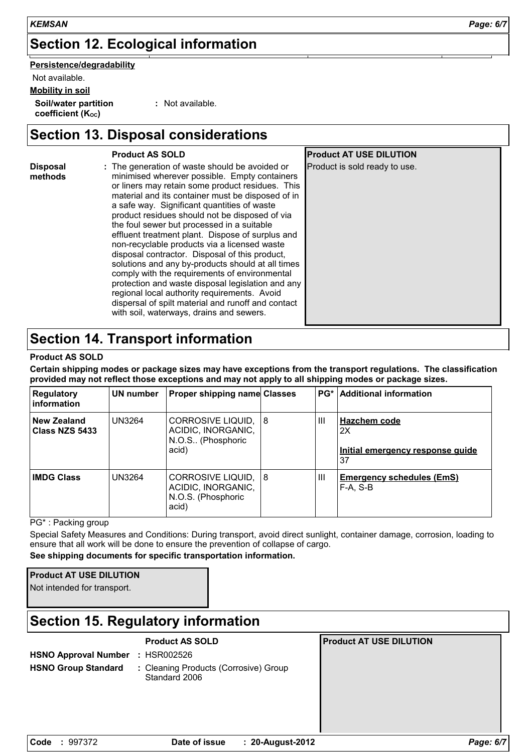# **Section 12. Ecological information**

**Persistence/degradability**

Not available.

**Mobility in soil**

**Soil/water partition** coefficient (Koc)

**:** Not available.

### **Section 13. Disposal considerations**

|                            | <b>Product AS SOLD</b>                                                                                                                                                                                                                                                                                                                                                                                                                                                                                                                                                                                                                                                                                                                                                                                                     | <b>Product AT USE DILUTION</b> |  |
|----------------------------|----------------------------------------------------------------------------------------------------------------------------------------------------------------------------------------------------------------------------------------------------------------------------------------------------------------------------------------------------------------------------------------------------------------------------------------------------------------------------------------------------------------------------------------------------------------------------------------------------------------------------------------------------------------------------------------------------------------------------------------------------------------------------------------------------------------------------|--------------------------------|--|
| <b>Disposal</b><br>methods | : The generation of waste should be avoided or<br>minimised wherever possible. Empty containers<br>or liners may retain some product residues. This<br>material and its container must be disposed of in<br>a safe way. Significant quantities of waste<br>product residues should not be disposed of via<br>the foul sewer but processed in a suitable<br>effluent treatment plant. Dispose of surplus and<br>non-recyclable products via a licensed waste<br>disposal contractor. Disposal of this product,<br>solutions and any by-products should at all times<br>comply with the requirements of environmental<br>protection and waste disposal legislation and any<br>regional local authority requirements. Avoid<br>dispersal of spilt material and runoff and contact<br>with soil, waterways, drains and sewers. | Product is sold ready to use.  |  |
|                            | Saction 1.1 Tranenort information                                                                                                                                                                                                                                                                                                                                                                                                                                                                                                                                                                                                                                                                                                                                                                                          |                                |  |

### **Section 14. Transport information**

#### **Product AS SOLD**

**Certain shipping modes or package sizes may have exceptions from the transport regulations. The classification provided may not reflect those exceptions and may not apply to all shipping modes or package sizes.**

| <b>Regulatory</b><br>∣ information   | UN number     | <b>Proper shipping name Classes</b>                                     |    |                | <b>PG*</b>   Additional information                          |
|--------------------------------------|---------------|-------------------------------------------------------------------------|----|----------------|--------------------------------------------------------------|
| <b>New Zealand</b><br>Class NZS 5433 | <b>UN3264</b> | CORROSIVE LIQUID,<br>ACIDIC, INORGANIC,<br>N.O.S., (Phosphoric<br>acid) | 18 | Ш              | Hazchem code<br>2X<br>Initial emergency response quide<br>37 |
| <b>IMDG Class</b>                    | <b>UN3264</b> | CORROSIVE LIQUID,<br>ACIDIC, INORGANIC,<br>N.O.S. (Phosphoric<br>acid)  | 18 | $\mathbf{III}$ | <b>Emergency schedules (EmS)</b><br>$F-A. S-B$               |

PG\* : Packing group

Special Safety Measures and Conditions: During transport, avoid direct sunlight, container damage, corrosion, loading to ensure that all work will be done to ensure the prevention of collapse of cargo.

**See shipping documents for specific transportation information.**

Not intended for transport.

### **Section 15. Regulatory information**

**HSNO Approval Number :** HSR002526

**Product AS SOLD Product AT USE DILUTION**

- 
- 
- **HSNO Group Standard :**Cleaning Products (Corrosive) Group Standard 2006